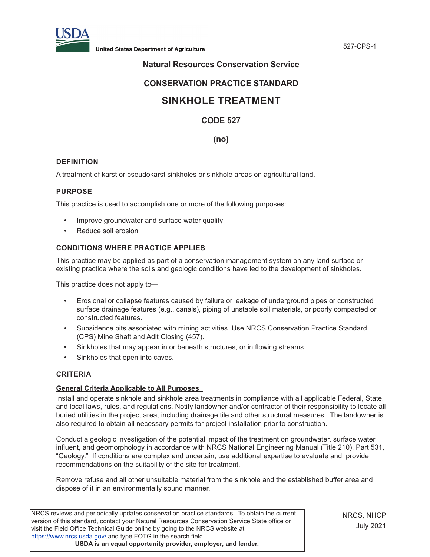

# **Natural Resources Conservation Service**

# **CONSERVATION PRACTICE STANDARD**

# **SINKHOLE TREATMENT**

# **CODE 527**

## **(no)**

#### **DEFINITION**

A treatment of karst or pseudokarst sinkholes or sinkhole areas on agricultural land.

#### **PURPOSE**

This practice is used to accomplish one or more of the following purposes:

- Improve groundwater and surface water quality
- Reduce soil erosion

## **CONDITIONS WHERE PRACTICE APPLIES**

This practice may be applied as part of a conservation management system on any land surface or existing practice where the soils and geologic conditions have led to the development of sinkholes.

This practice does not apply to—

- Erosional or collapse features caused by failure or leakage of underground pipes or constructed surface drainage features (e.g., canals), piping of unstable soil materials, or poorly compacted or constructed features.
- Subsidence pits associated with mining activities. Use NRCS Conservation Practice Standard (CPS) Mine Shaft and Adit Closing (457).
- Sinkholes that may appear in or beneath structures, or in flowing streams.
- Sinkholes that open into caves.

#### **CRITERIA**

#### **General Criteria Applicable to All Purposes**

Install and operate sinkhole and sinkhole area treatments in compliance with all applicable Federal, State, and local laws, rules, and regulations. Notify landowner and/or contractor of their responsibility to locate all buried utilities in the project area, including drainage tile and other structural measures. The landowner is also required to obtain all necessary permits for project installation prior to construction.

Conduct a geologic investigation of the potential impact of the treatment on groundwater, surface water influent, and geomorphology in accordance with NRCS National Engineering Manual (Title 210), Part 531, "Geology." If conditions are complex and uncertain, use additional expertise to evaluate and provide recommendations on the suitability of the site for treatment.

Remove refuse and all other unsuitable material from the sinkhole and the established buffer area and dispose of it in an environmentally sound manner.

NRCS reviews and periodically updates conservation practice standards. To obtain the current version of this standard, contact your Natural Resources Conservation Service State office or visit the Field Office Technical Guide online by going to the NRCS website at <https://www.nrcs.usda.gov/>and type FOTG in the search field. **USDA is an equal opportunity provider, employer, and lender.**

NRCS, NHCP July 2021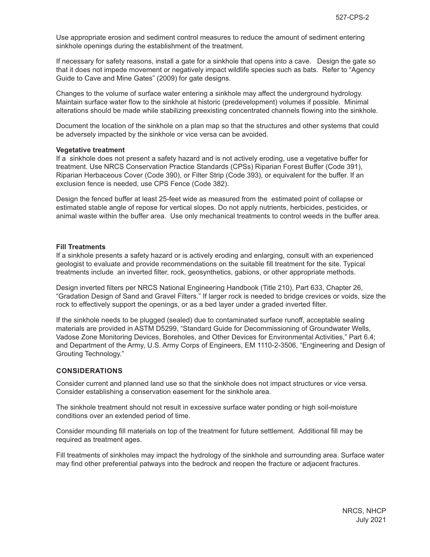Use appropriate erosion and sediment control measures to reduce the amount of sediment entering sinkhole openings during the establishment of the treatment.

If necessary for safety reasons, install a gate for a sinkhole that opens into a cave. Design the gate so that it does not impede movement or negatively impact wildlife species such as bats. Refer to "Agency Guide to Cave and Mine Gates" (2009) for gate designs.

Changes to the volume of surface water entering a sinkhole may affect the underground hydrology. Maintain surface water flow to the sinkhole at historic (predevelopment) volumes if possible. Minimal alterations should be made while stabilizing preexisting concentrated channels flowing into the sinkhole.

Document the location of the sinkhole on a plan map so that the structures and other systems that could be adversely impacted by the sinkhole or vice versa can be avoided.

#### **Vegetative treatment**

If a sinkhole does not present a safety hazard and is not actively eroding, use a vegetative buffer for treatment. Use NRCS Conservation Practice Standards (CPSs) Riparian Forest Buffer (Code 391), Riparian Herbaceous Cover (Code 390), or Filter Strip (Code 393), or equivalent for the buffer. If an exclusion fence is needed, use CPS Fence (Code 382).

Design the fenced buffer at least 25-feet wide as measured from the estimated point of collapse or estimated stable angle of repose for vertical slopes. Do not apply nutrients, herbicides, pesticides, or animal waste within the buffer area. Use only mechanical treatments to control weeds in the buffer area.

#### **Fill Treatments**

If a sinkhole presents a safety hazard or is actively eroding and enlarging, consult with an experienced geologist to evaluate and provide recommendations on the suitable fill treatment for the site. Typical treatments include an inverted filter, rock, geosynthetics, gabions, or other appropriate methods.

Design inverted filters per NRCS National Engineering Handbook (Title 210), Part 633, Chapter 26, "Gradation Design of Sand and Gravel Filters." If larger rock is needed to bridge crevices or voids, size the rock to effectively support the openings, or as a bed layer under a graded inverted filter.

If the sinkhole needs to be plugged (sealed) due to contaminated surface runoff, acceptable sealing materials are provided in ASTM D5299, "Standard Guide for Decommissioning of Groundwater Wells, Vadose Zone Monitoring Devices, Boreholes, and Other Devices for Environmental Activities," Part 6.4; and Department of the Army, U.S. Army Corps of Engineers, EM 1110-2-3506, "Engineering and Design of Grouting Technology."

#### **CONSIDERATIONS**

Consider current and planned land use so that the sinkhole does not impact structures or vice versa. Consider establishing a conservation easement for the sinkhole area.

The sinkhole treatment should not result in excessive surface water ponding or high soil-moisture conditions over an extended period of time.

Consider mounding fill materials on top of the treatment for future settlement. Additional fill may be required as treatment ages.

Fill treatments of sinkholes may impact the hydrology of the sinkhole and surrounding area. Surface water may find other preferential patways into the bedrock and reopen the fracture or adjacent fractures.